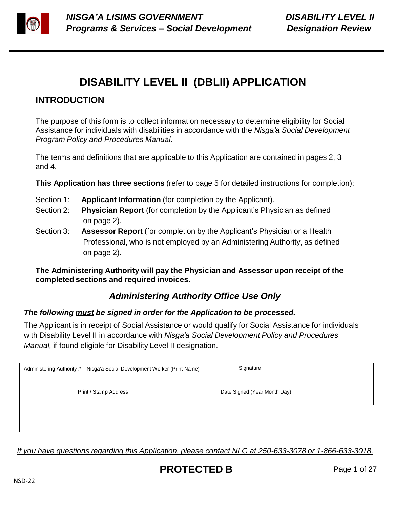

# **DISABILITY LEVEL II (DBLII) APPLICATION**

# **INTRODUCTION**

The purpose of this form is to collect information necessary to determine eligibility for Social Assistance for individuals with disabilities in accordance with the *Nisga'a Social Development Program Policy and Procedures Manual*.

The terms and definitions that are applicable to this Application are contained in pages 2, 3 and 4.

**This Application has three sections** (refer to page 5 for detailed instructions for completion):

- Section 1: **Applicant Information** (for completion by the Applicant).
- Section 2: **Physician Report** (for completion by the Applicant's Physician as defined on page 2).
- Section 3: **Assessor Report** (for completion by the Applicant's Physician or a Health Professional, who is not employed by an Administering Authority, as defined on page 2).

**The Administering Authority will pay the Physician and Assessor upon receipt of the completed sections and required invoices.**

# *Administering Authority Office Use Only*

### *The following must be signed in order for the Application to be processed.*

The Applicant is in receipt of Social Assistance or would qualify for Social Assistance for individuals with Disability Level II in accordance with *Nisga'a Social Development Policy and Procedures Manual,* if found eligible for Disability Level II designation.

| Administering Authority #   Nisga'a Social Development Worker (Print Name) | Signature |                              |
|----------------------------------------------------------------------------|-----------|------------------------------|
| Print / Stamp Address                                                      |           | Date Signed (Year Month Day) |
|                                                                            |           |                              |

*If you have questions regarding this Application, please contact NLG at 250-633-3078 or 1-866-633-3018.*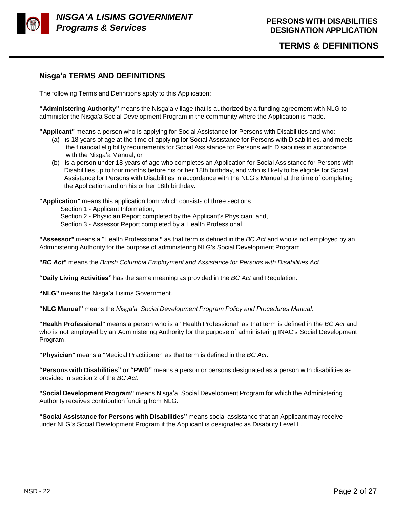

### **Nisga'a TERMS AND DEFINITIONS**

The following Terms and Definitions apply to this Application:

**"Administering Authority"** means the Nisga'a village that is authorized by a funding agreement with NLG to administer the Nisga'a Social Development Program in the community where the Application is made.

**"Applicant"** means a person who is applying for Social Assistance for Persons with Disabilities and who:

- (a) is 18 years of age at the time of applying for Social Assistance for Persons with Disabilities, and meets the financial eligibility requirements for Social Assistance for Persons with Disabilities in accordance with the Nisga'a Manual; or
- (b) is a person under 18 years of age who completes an Application for Social Assistance for Persons with Disabilities up to four months before his or her 18th birthday, and who is likely to be eligible for Social Assistance for Persons with Disabilities in accordance with the NLG's Manual at the time of completing the Application and on his or her 18th birthday.

**"Application"** means this application form which consists of three sections:

Section 1 - Applicant Information;

Section 2 - Physician Report completed by the Applicant's Physician; and,

Section 3 - Assessor Report completed by a Health Professional.

**"Assessor"** means a "Health Professional**"** as that term is defined in the *BC Act* and who is not employed by an Administering Authority for the purpose of administering NLG's Social Development Program.

**"***BC Act***"** means the *British Columbia Employment and Assistance for Persons with Disabilities Act.*

**"Daily Living Activities"** has the same meaning as provided in the *BC Act* and Regulation.

**"NLG"** means the Nisga'a Lisims Government.

**"NLG Manual"** means the *Nisga'a Social Development Program Policy and Procedures Manual.*

**"Health Professional"** means a person who is a "Health Professional" as that term is defined in the *BC Act* and who is not employed by an Administering Authority for the purpose of administering INAC's Social Development Program.

**"Physician"** means a "Medical Practitioner" as that term is defined in the *BC Act*.

**"Persons with Disabilities" or "PWD"** means a person or persons designated as a person with disabilities as provided in section 2 of the *BC Act*.

**"Social Development Program"** means Nisga'a Social Development Program for which the Administering Authority receives contribution funding from NLG.

**"Social Assistance for Persons with Disabilities"** means social assistance that an Applicant may receive under NLG's Social Development Program if the Applicant is designated as Disability Level II.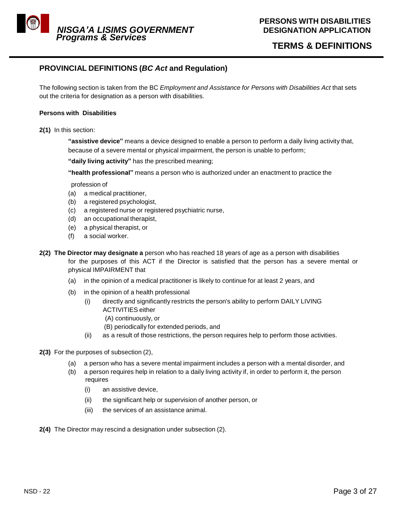

### **TERMS & DEFINITIONS**

### **PROVINCIAL DEFINITIONS (***BC Act* **and Regulation)**

The following section is taken from the BC *Employment and Assistance for Persons with Disabilities Act* that sets out the criteria for designation as a person with disabilities.

### **Persons with Disabilities**

**2(1)** In this section:

**"assistive device"** means a device designed to enable a person to perform a daily living activity that, because of a severe mental or physical impairment, the person is unable to perform;

**"daily living activity"** has the prescribed meaning;

**"health professional"** means a person who is authorized under an enactment to practice the

profession of

- (a) a medical practitioner,
- (b) a registered psychologist,
- (c) a registered nurse or registered psychiatric nurse,
- (d) an occupational therapist,
- (e) a physical therapist, or
- (f) a social worker.
- **2(2) The Director may designate a** person who has reached 18 years of age as a person with disabilities for the purposes of this ACT if the Director is satisfied that the person has a severe mental or physical IMPAIRMENT that
	- (a) in the opinion of a medical practitioner is likely to continue for at least 2 years, and
	- (b) in the opinion of a health professional
		- (i) directly and significantly restricts the person's ability to perform DAILY LIVING ACTIVITIES either
			- (A) continuously, or
			- (B) periodically for extended periods, and
		- (ii) as a result of those restrictions, the person requires help to perform those activities.
- **2(3)** For the purposes of subsection (2),
	- (a) a person who has a severe mental impairment includes a person with a mental disorder, and
	- (b) a person requires help in relation to a daily living activity if, in order to perform it, the person requires
		- (i) an assistive device,
		- (ii) the significant help or supervision of another person, or
		- (iii) the services of an assistance animal.
- **2(4)** The Director may rescind a designation under subsection (2).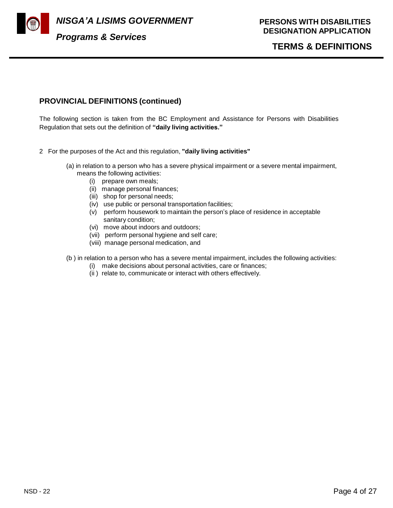

*NISGA'A LISIMS GOVERNMENT* 

### **TERMS & DEFINITIONS**

### **PROVINCIAL DEFINITIONS (continued)**

The following section is taken from the BC Employment and Assistance for Persons with Disabilities Regulation that sets out the definition of **"daily living activities."**

- 2 For the purposes of the Act and this regulation, **"daily living activities"**
	- (a) in relation to a person who has a severe physical impairment or a severe mental impairment, means the following activities:
		- (i) prepare own meals;
		- (ii) manage personal finances;
		- (iii) shop for personal needs;
		- (iv) use public or personal transportation facilities;
		- (v) perform housework to maintain the person's place of residence in acceptable sanitary condition;
		- (vi) move about indoors and outdoors;
		- (vii) perform personal hygiene and self care;
		- (viii) manage personal medication, and
	- (b ) in relation to a person who has a severe mental impairment, includes the following activities:
		- (i) make decisions about personal activities, care or finances;
		- (ii ) relate to, communicate or interact with others effectively.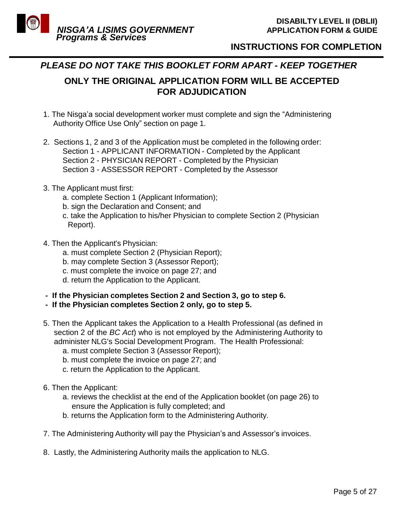

### **INSTRUCTIONS FOR COMPLETION**

### *PLEASE DO NOT TAKE THIS BOOKLET FORM APART - KEEP TOGETHER*

**ONLY THE ORIGINAL APPLICATION FORM WILL BE ACCEPTED FOR ADJUDICATION**

- 1. The Nisga'a social development worker must complete and sign the "Administering Authority Office Use Only" section on page 1.
- 2. Sections 1, 2 and 3 of the Application must be completed in the following order: Section 1 - APPLICANT INFORMATION - Completed by the Applicant Section 2 - PHYSICIAN REPORT - Completed by the Physician Section 3 - ASSESSOR REPORT - Completed by the Assessor
- 3. The Applicant must first:
	- a. complete Section 1 (Applicant Information);
	- b. sign the Declaration and Consent; and
	- c. take the Application to his/her Physician to complete Section 2 (Physician Report).
- 4. Then the Applicant's Physician:
	- a. must complete Section 2 (Physician Report);
	- b. may complete Section 3 (Assessor Report);
	- c. must complete the invoice on page 27; and
	- d. return the Application to the Applicant.
- **- If the Physician completes Section 2 and Section 3, go to step 6.**
- **- If the Physician completes Section 2 only, go to step 5.**
- 5. Then the Applicant takes the Application to a Health Professional (as defined in section 2 of the *BC Act*) who is not employed by the Administering Authority to administer NLG's Social Development Program. The Health Professional:
	- a. must complete Section 3 (Assessor Report);
	- b. must complete the invoice on page 27; and
	- c. return the Application to the Applicant.
- 6. Then the Applicant:
	- a. reviews the checklist at the end of the Application booklet (on page 26) to ensure the Application is fully completed; and
	- b. returns the Application form to the Administering Authority.
- 7. The Administering Authority will pay the Physician's and Assessor's invoices.
- 8. Lastly, the Administering Authority mails the application to NLG.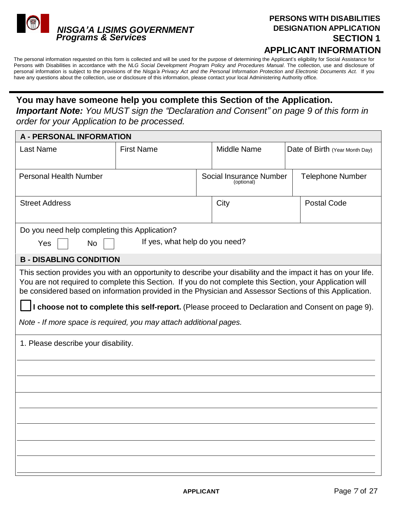

# **PERSONS WITH DISABILITIES DESIGNATION APPLICATION SECTION 1**

**APPLICANT INFORMATION**

The personal information requested on this form is collected and will be used for the purpose of determining the Applicant's eligibility for Social Assistance for Persons with Disabilities in accordance with the *NLG Social Development Program Policy and Procedures Manual*. The collection, use and disclosure of personal information is subject to the provisions of the Nisga'a Privacy Act and the Personal Information Protection and Electronic Documents Act. If you have any questions about the collection, use or disclosure of this information, please contact your local Administering Authority office.

### **You may have someone help you complete this Section of the Application.**

*Important Note: You MUST sign the "Declaration and Consent" on page 9 of this form in order for your Application to be processed.*

| <b>A - PERSONAL INFORMATION</b>                                                                                                                                                                                                                                                                                                                                                                                                                                                                                                                         |                                |  |                                       |  |                                |  |  |  |  |
|---------------------------------------------------------------------------------------------------------------------------------------------------------------------------------------------------------------------------------------------------------------------------------------------------------------------------------------------------------------------------------------------------------------------------------------------------------------------------------------------------------------------------------------------------------|--------------------------------|--|---------------------------------------|--|--------------------------------|--|--|--|--|
| <b>Last Name</b>                                                                                                                                                                                                                                                                                                                                                                                                                                                                                                                                        | <b>First Name</b>              |  | Middle Name                           |  | Date of Birth (Year Month Day) |  |  |  |  |
| <b>Personal Health Number</b>                                                                                                                                                                                                                                                                                                                                                                                                                                                                                                                           |                                |  | Social Insurance Number<br>(optional) |  | <b>Telephone Number</b>        |  |  |  |  |
| <b>Street Address</b>                                                                                                                                                                                                                                                                                                                                                                                                                                                                                                                                   |                                |  | City                                  |  | <b>Postal Code</b>             |  |  |  |  |
| Do you need help completing this Application?                                                                                                                                                                                                                                                                                                                                                                                                                                                                                                           |                                |  |                                       |  |                                |  |  |  |  |
| Yes<br>No.                                                                                                                                                                                                                                                                                                                                                                                                                                                                                                                                              | If yes, what help do you need? |  |                                       |  |                                |  |  |  |  |
| <b>B - DISABLING CONDITION</b>                                                                                                                                                                                                                                                                                                                                                                                                                                                                                                                          |                                |  |                                       |  |                                |  |  |  |  |
| This section provides you with an opportunity to describe your disability and the impact it has on your life.<br>You are not required to complete this Section. If you do not complete this Section, your Application will<br>be considered based on information provided in the Physician and Assessor Sections of this Application.<br>I choose not to complete this self-report. (Please proceed to Declaration and Consent on page 9).<br>Note - If more space is required, you may attach additional pages.<br>1. Please describe your disability. |                                |  |                                       |  |                                |  |  |  |  |
|                                                                                                                                                                                                                                                                                                                                                                                                                                                                                                                                                         |                                |  |                                       |  |                                |  |  |  |  |
|                                                                                                                                                                                                                                                                                                                                                                                                                                                                                                                                                         |                                |  |                                       |  |                                |  |  |  |  |
|                                                                                                                                                                                                                                                                                                                                                                                                                                                                                                                                                         |                                |  |                                       |  |                                |  |  |  |  |
|                                                                                                                                                                                                                                                                                                                                                                                                                                                                                                                                                         |                                |  |                                       |  |                                |  |  |  |  |
|                                                                                                                                                                                                                                                                                                                                                                                                                                                                                                                                                         |                                |  |                                       |  |                                |  |  |  |  |
|                                                                                                                                                                                                                                                                                                                                                                                                                                                                                                                                                         |                                |  |                                       |  |                                |  |  |  |  |
|                                                                                                                                                                                                                                                                                                                                                                                                                                                                                                                                                         |                                |  |                                       |  |                                |  |  |  |  |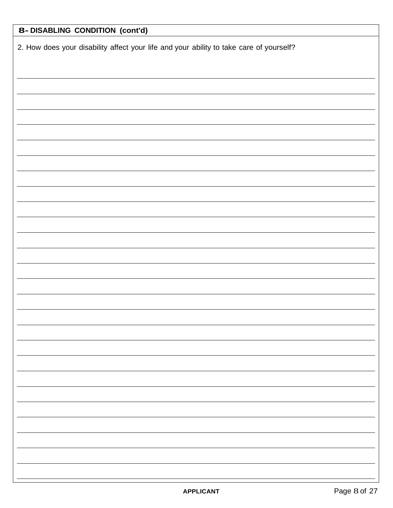| 8- DISABLING CONDITION (cont'd)                                                         |  |  |  |  |  |  |
|-----------------------------------------------------------------------------------------|--|--|--|--|--|--|
| 2. How does your disability affect your life and your ability to take care of yourself? |  |  |  |  |  |  |
|                                                                                         |  |  |  |  |  |  |
|                                                                                         |  |  |  |  |  |  |
|                                                                                         |  |  |  |  |  |  |
|                                                                                         |  |  |  |  |  |  |
|                                                                                         |  |  |  |  |  |  |
|                                                                                         |  |  |  |  |  |  |
|                                                                                         |  |  |  |  |  |  |
|                                                                                         |  |  |  |  |  |  |
|                                                                                         |  |  |  |  |  |  |
|                                                                                         |  |  |  |  |  |  |
|                                                                                         |  |  |  |  |  |  |
|                                                                                         |  |  |  |  |  |  |
|                                                                                         |  |  |  |  |  |  |
|                                                                                         |  |  |  |  |  |  |
|                                                                                         |  |  |  |  |  |  |
|                                                                                         |  |  |  |  |  |  |
|                                                                                         |  |  |  |  |  |  |
|                                                                                         |  |  |  |  |  |  |
|                                                                                         |  |  |  |  |  |  |
|                                                                                         |  |  |  |  |  |  |
|                                                                                         |  |  |  |  |  |  |
|                                                                                         |  |  |  |  |  |  |
|                                                                                         |  |  |  |  |  |  |
|                                                                                         |  |  |  |  |  |  |
|                                                                                         |  |  |  |  |  |  |
|                                                                                         |  |  |  |  |  |  |
|                                                                                         |  |  |  |  |  |  |
|                                                                                         |  |  |  |  |  |  |
|                                                                                         |  |  |  |  |  |  |
|                                                                                         |  |  |  |  |  |  |
|                                                                                         |  |  |  |  |  |  |
|                                                                                         |  |  |  |  |  |  |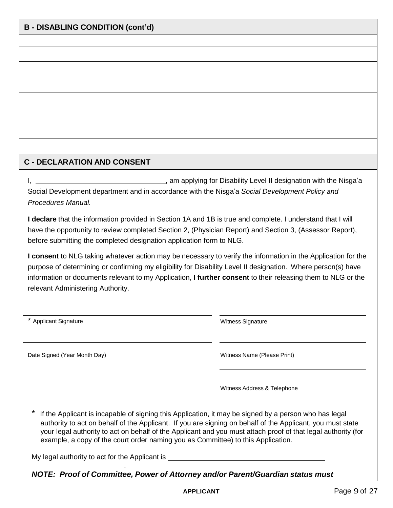### **C - DECLARATION AND CONSENT**

I, , am applying for Disability Level II designation with the Nisga'a Social Development department and in accordance with the Nisga'a *Social Development Policy and Procedures Manual.*

**I declare** that the information provided in Section 1A and 1B is true and complete. I understand that I will have the opportunity to review completed Section 2, (Physician Report) and Section 3, (Assessor Report), before submitting the completed designation application form to NLG.

**I consent** to NLG taking whatever action may be necessary to verify the information in the Application for the purpose of determining or confirming my eligibility for Disability Level II designation. Where person(s) have information or documents relevant to my Application, **I further consent** to their releasing them to NLG or the relevant Administering Authority.

| <b>Applicant Signature</b>                                                                                                                                                                                                                                                                                                                                                                                               | <b>Witness Signature</b>    |  |  |  |  |  |
|--------------------------------------------------------------------------------------------------------------------------------------------------------------------------------------------------------------------------------------------------------------------------------------------------------------------------------------------------------------------------------------------------------------------------|-----------------------------|--|--|--|--|--|
| Date Signed (Year Month Day)                                                                                                                                                                                                                                                                                                                                                                                             | Witness Name (Please Print) |  |  |  |  |  |
|                                                                                                                                                                                                                                                                                                                                                                                                                          | Witness Address & Telephone |  |  |  |  |  |
| If the Applicant is incapable of signing this Application, it may be signed by a person who has legal<br>authority to act on behalf of the Applicant. If you are signing on behalf of the Applicant, you must state<br>your legal authority to act on behalf of the Applicant and you must attach proof of that legal authority (for<br>example, a copy of the court order naming you as Committee) to this Application. |                             |  |  |  |  |  |

My legal authority to act for the Applicant is \_\_\_\_\_\_\_\_\_\_\_\_\_\_\_\_\_\_\_\_\_\_\_\_\_\_\_\_\_\_\_\_\_

.

*NOTE: Proof of Committee, Power of Attorney and/or Parent/Guardian status must*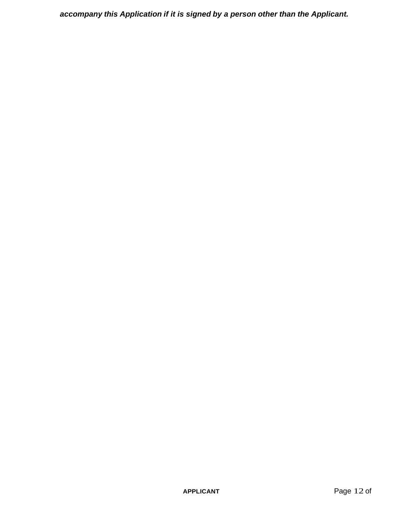*accompany this Application if it is signed by a person other than the Applicant.*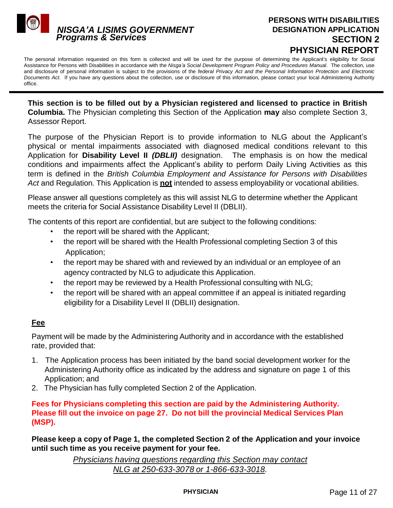

### **PERSONS WITH DISABILITIES DESIGNATION APPLICATION SECTION 2 PHYSICIAN REPORT**

The personal information requested on this form is collected and will be used for the purpose of determining the Applicant's eligibility for Social Assistance for Persons with Disabilities in accordance with the *Nisga'a Social Development Program Policy and Procedures Manual*. The collection, use and disclosure of personal information is subject to the provisions of the *federal Privacy Act and the Personal Information Protection and Electronic Documents Act.* If you have any questions about the collection, use or disclosure of this information, please contact your local Administering Authority office.

**This section is to be filled out by a Physician registered and licensed to practice in British Columbia.** The Physician completing this Section of the Application **may** also complete Section 3, Assessor Report.

The purpose of the Physician Report is to provide information to NLG about the Applicant's physical or mental impairments associated with diagnosed medical conditions relevant to this Application for **Disability Level II** *(DBLII)* designation. The emphasis is on how the medical conditions and impairments affect the Applicant's ability to perform Daily Living Activities as this term is defined in the *British Columbia Employment and Assistance for Persons with Disabilities Act* and Regulation*.* This Application is **not** intended to assess employability or vocational abilities.

Please answer all questions completely as this will assist NLG to determine whether the Applicant meets the criteria for Social Assistance Disability Level II (DBLII).

The contents of this report are confidential, but are subject to the following conditions:

- the report will be shared with the Applicant;
- the report will be shared with the Health Professional completing Section 3 of this Application;
- the report may be shared with and reviewed by an individual or an employee of an agency contracted by NLG to adjudicate this Application.
- the report may be reviewed by a Health Professional consulting with NLG;
- the report will be shared with an appeal committee if an appeal is initiated regarding eligibility for a Disability Level II (DBLII) designation.

### **Fee**

Payment will be made by the Administering Authority and in accordance with the established rate, provided that:

- 1. The Application process has been initiated by the band social development worker for the Administering Authority office as indicated by the address and signature on page 1 of this Application; and
- 2. The Physician has fully completed Section 2 of the Application.

**Fees for Physicians completing this section are paid by the Administering Authority. Please fill out the invoice on page 27. Do not bill the provincial Medical Services Plan (MSP).**

**Please keep a copy of Page 1, the completed Section 2 of the Application and your invoice until such time as you receive payment for your fee.**

> *Physicians having questions regarding this Section may contact NLG at 250-633-3078 or 1-866-633-3018.*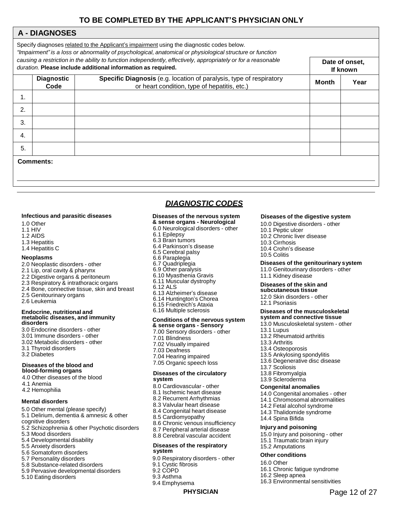### **TO BE COMPLETED BY THE APPLICANT'S PHYSICIAN ONLY**

### **A - DIAGNOSES**

|    | Specify diagnoses related to the Applicant's impairment using the diagnostic codes below.<br>"Impairment" is a loss or abnormality of psychological, anatomical or physiological structure or function<br>causing a restriction in the ability to function independently, effectively, appropriately or for a reasonable<br>Date of onset,<br>duration. Please include additional information as required.<br>If known |              |      |  |  |  |  |  |  |
|----|------------------------------------------------------------------------------------------------------------------------------------------------------------------------------------------------------------------------------------------------------------------------------------------------------------------------------------------------------------------------------------------------------------------------|--------------|------|--|--|--|--|--|--|
|    | <b>Diagnostic</b><br>Code                                                                                                                                                                                                                                                                                                                                                                                              | <b>Month</b> | Year |  |  |  |  |  |  |
| 1. |                                                                                                                                                                                                                                                                                                                                                                                                                        |              |      |  |  |  |  |  |  |
| 2. |                                                                                                                                                                                                                                                                                                                                                                                                                        |              |      |  |  |  |  |  |  |
| 3. |                                                                                                                                                                                                                                                                                                                                                                                                                        |              |      |  |  |  |  |  |  |
| 4. |                                                                                                                                                                                                                                                                                                                                                                                                                        |              |      |  |  |  |  |  |  |
| 5. |                                                                                                                                                                                                                                                                                                                                                                                                                        |              |      |  |  |  |  |  |  |
|    | Comments:                                                                                                                                                                                                                                                                                                                                                                                                              |              |      |  |  |  |  |  |  |

### *DIAGNOSTIC CODES*

#### **Infectious and parasitic diseases**

1.0 Other

- 1.1 HIV
- 1.2 AIDS
- 1.3 Hepatitis
- 1.4 Hepatitis C

#### **Neoplasms**

- 2.0 Neoplastic disorders other
- 2.1 Lip, oral cavity & pharynx
- 2.2 Digestive organs & peritoneum
- 2.3 Respiratory & intrathoracic organs
- 2.4 Bone, connective tissue, skin and breast 2.5 Genitourinary organs
- 2.6 Leukemia

#### **Endocrine, nutritional and metabolic diseases, and immunity disorders**

3.0 Endocrine disorders - other 3.01 Immune disorders - other 3.02 Metabolic disorders - other 3.1 Thyroid disorders 3.2 Diabetes

#### **Diseases of the blood and blood-forming organs**

4.0 Other diseases of the blood 4.1 Anemia 4.2 Hemophilia

#### **Mental disorders**

- 5.0 Other mental (please specify) 5.1 Delirium, dementia & amnesic & other cognitive disorders 5.2 Schizophrenia & other Psychotic disorders 5.3 Mood disorders
- 5.4 Developmental disability
- 5.5 Anxiety disorders
- 5.6 Somatoform disorders
- 5.7 Personality disorders
- 5.8 Substance-related disorders
- 5.9 Pervasive developmental disorders
- 5.10 Eating disorders

#### **Diseases of the nervous system & sense organs - Neurological**

### 6.0 Neurological disorders - other

- 6.1 Epilepsy
- 6.3 Brain tumors
- 6.4 Parkinson's disease
- 6.5 Cerebral palsy
- 6.6 Paraplegia
- 6.7 Quadriplegia
- 6.9 Other paralysis
- 6.10 Myasthenia Gravis
- 6.11 Muscular dystrophy
- 6.12 ALS
- 6.13 Alzheimer's disease
- 6.14 Huntington's Chorea
- 6.15 Friedreich's Ataxia
- 6.16 Multiple sclerosis

### **Conditions of the nervous system**

- **& sense organs - Sensory** 7.00 Sensory disorders - other
- 7.01 Blindness
- 7.02 Visually impaired
- 7.03 Deafness
- 7.04 Hearing impaired
- 7.05 Organic speech loss

#### **Diseases of the circulatory system**

- 8.0 Cardiovascular other
- 8.1 Ischemic heart disease
- 8.2 Recurrent Arrhythmias
- 8.3 Valvular heart disease
- 8.4 Congenital heart disease
- 8.5 Cardiomyopathy
- 8.6 Chronic venous insufficiency
- 8.7 Peripheral arterial disease
- 8.8 Cerebral vascular accident

#### **Diseases of the respiratory system**

- 9.0 Respiratory disorders other
- 9.1 Cystic fibrosis
- 9.2 COPD
- 9.3 Asthma
- 9.4 Emphysema

#### **Diseases of the digestive system**

- 10.0 Digestive disorders other
- 10.1 Peptic ulcer
- 10.2 Chronic liver disease
- 10.3 Cirrhosis
- 10.4 Crohn's disease
- 10.5 Colitis

#### **Diseases of the genitourinary system**

11.0 Genitourinary disorders - other 11.1 Kidney disease

#### **Diseases of the skin and subcutaneous tissue**

12.0 Skin disorders - other

12.1 Psoriasis

#### **Diseases of the musculoskeletal system and connective tissue**

- 13.0 Musculoskeletal system other
- 13.1 Lupus
- 13.2 Rheumatoid arthritis
- 13.3 Arthritis
- 13.4 Osteoporosis
- 13.5 Ankylosing spondylitis
- 13.6 Degenerative disc disease
- 13.7 Scoliosis
- 13.8 Fibromyalgia
- 13.9 Scleroderma

#### **Congenital anomalies**

- 14.0 Congenital anomalies other
- 14.1 Chromosomal abnormalities
- 14.2 Fetal alcohol syndrome
- 14.3 Thalidomide syndrome

15.1 Traumatic brain injury

14.4 Spina Bifida

15.2 Amputations **Other conditions** 16.0 Other

16.2 Sleep apnea

**PHYSICIAN** Page 12 of 27

#### **Injury and poisoning**

15.0 Injury and poisoning - other

16.1 Chronic fatigue syndrome

16.3 Environmental sensitivities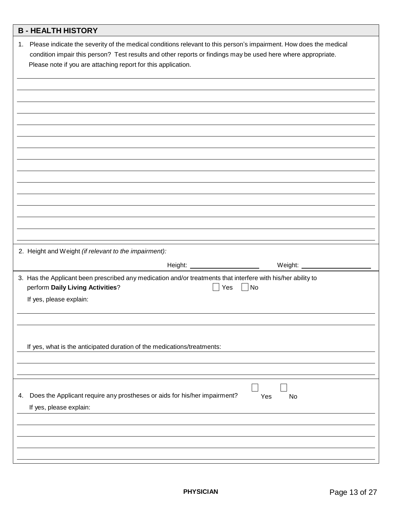|    | <b>B-HEALTH HISTORY</b>                                                                                                                                                                                                                                                                               |
|----|-------------------------------------------------------------------------------------------------------------------------------------------------------------------------------------------------------------------------------------------------------------------------------------------------------|
|    | 1. Please indicate the severity of the medical conditions relevant to this person's impairment. How does the medical<br>condition impair this person? Test results and other reports or findings may be used here where appropriate.<br>Please note if you are attaching report for this application. |
|    |                                                                                                                                                                                                                                                                                                       |
|    |                                                                                                                                                                                                                                                                                                       |
|    |                                                                                                                                                                                                                                                                                                       |
|    |                                                                                                                                                                                                                                                                                                       |
|    |                                                                                                                                                                                                                                                                                                       |
|    |                                                                                                                                                                                                                                                                                                       |
|    |                                                                                                                                                                                                                                                                                                       |
|    |                                                                                                                                                                                                                                                                                                       |
|    |                                                                                                                                                                                                                                                                                                       |
|    |                                                                                                                                                                                                                                                                                                       |
|    | 2. Height and Weight (if relevant to the impairment):                                                                                                                                                                                                                                                 |
|    |                                                                                                                                                                                                                                                                                                       |
|    | 3. Has the Applicant been prescribed any medication and/or treatments that interfere with his/her ability to<br>perform Daily Living Activities?<br>No<br>Yes<br>$\Box$                                                                                                                               |
|    | If yes, please explain:                                                                                                                                                                                                                                                                               |
|    |                                                                                                                                                                                                                                                                                                       |
|    |                                                                                                                                                                                                                                                                                                       |
|    | If yes, what is the anticipated duration of the medications/treatments:                                                                                                                                                                                                                               |
|    |                                                                                                                                                                                                                                                                                                       |
|    |                                                                                                                                                                                                                                                                                                       |
| 4. | Does the Applicant require any prostheses or aids for his/her impairment?<br>Yes<br>No<br>If yes, please explain:                                                                                                                                                                                     |
|    |                                                                                                                                                                                                                                                                                                       |
|    |                                                                                                                                                                                                                                                                                                       |
|    |                                                                                                                                                                                                                                                                                                       |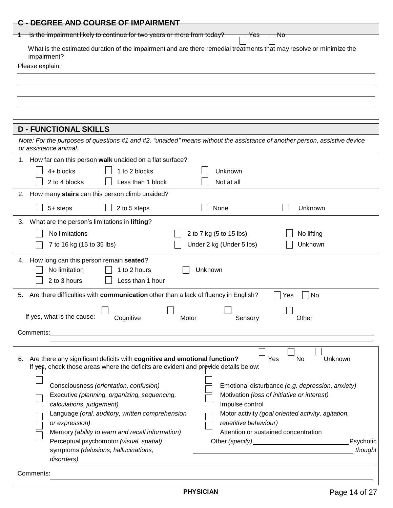| C - DEGREE AND COURSE OF IMPAIRMENT                                                                                                                                                                                                                                                     |  |  |  |  |  |  |  |  |
|-----------------------------------------------------------------------------------------------------------------------------------------------------------------------------------------------------------------------------------------------------------------------------------------|--|--|--|--|--|--|--|--|
| Is the impairment likely to continue for two years or more from today?<br>Nσ<br><del>Yes</del>                                                                                                                                                                                          |  |  |  |  |  |  |  |  |
| What is the estimated duration of the impairment and are there remedial treatments that may resolve or minimize the                                                                                                                                                                     |  |  |  |  |  |  |  |  |
| impairment?                                                                                                                                                                                                                                                                             |  |  |  |  |  |  |  |  |
| Please explain:                                                                                                                                                                                                                                                                         |  |  |  |  |  |  |  |  |
|                                                                                                                                                                                                                                                                                         |  |  |  |  |  |  |  |  |
|                                                                                                                                                                                                                                                                                         |  |  |  |  |  |  |  |  |
|                                                                                                                                                                                                                                                                                         |  |  |  |  |  |  |  |  |
|                                                                                                                                                                                                                                                                                         |  |  |  |  |  |  |  |  |
|                                                                                                                                                                                                                                                                                         |  |  |  |  |  |  |  |  |
| <b>D - FUNCTIONAL SKILLS</b>                                                                                                                                                                                                                                                            |  |  |  |  |  |  |  |  |
| Note: For the purposes of questions #1 and #2, "unaided" means without the assistance of another person, assistive device<br>or assistance animal.                                                                                                                                      |  |  |  |  |  |  |  |  |
| 1. How far can this person walk unaided on a flat surface?                                                                                                                                                                                                                              |  |  |  |  |  |  |  |  |
| 4+ blocks<br>1 to 2 blocks<br>Unknown                                                                                                                                                                                                                                                   |  |  |  |  |  |  |  |  |
| 2 to 4 blocks<br>Less than 1 block<br>Not at all                                                                                                                                                                                                                                        |  |  |  |  |  |  |  |  |
| How many stairs can this person climb unaided?<br>2.                                                                                                                                                                                                                                    |  |  |  |  |  |  |  |  |
| 5+ steps<br>2 to 5 steps<br>None<br>Unknown                                                                                                                                                                                                                                             |  |  |  |  |  |  |  |  |
| What are the person's limitations in lifting?<br>3.                                                                                                                                                                                                                                     |  |  |  |  |  |  |  |  |
| No limitations<br>2 to 7 kg (5 to 15 lbs)<br>No lifting                                                                                                                                                                                                                                 |  |  |  |  |  |  |  |  |
| 7 to 16 kg (15 to 35 lbs)<br>Under 2 kg (Under 5 lbs)<br>Unknown                                                                                                                                                                                                                        |  |  |  |  |  |  |  |  |
|                                                                                                                                                                                                                                                                                         |  |  |  |  |  |  |  |  |
| How long can this person remain seated?<br>4.                                                                                                                                                                                                                                           |  |  |  |  |  |  |  |  |
| No limitation<br>1 to 2 hours<br>Unknown                                                                                                                                                                                                                                                |  |  |  |  |  |  |  |  |
| 2 to 3 hours<br>Less than 1 hour                                                                                                                                                                                                                                                        |  |  |  |  |  |  |  |  |
| Are there difficulties with communication other than a lack of fluency in English?<br>5.<br>No<br>Yes                                                                                                                                                                                   |  |  |  |  |  |  |  |  |
|                                                                                                                                                                                                                                                                                         |  |  |  |  |  |  |  |  |
| If yes, what is the cause:<br>Cognitive<br>Sensory<br>Other<br>Motor                                                                                                                                                                                                                    |  |  |  |  |  |  |  |  |
| Comments:                                                                                                                                                                                                                                                                               |  |  |  |  |  |  |  |  |
|                                                                                                                                                                                                                                                                                         |  |  |  |  |  |  |  |  |
|                                                                                                                                                                                                                                                                                         |  |  |  |  |  |  |  |  |
| Are there any significant deficits with cognitive and emotional function?<br>Yes<br>No<br>Unknown<br>6.                                                                                                                                                                                 |  |  |  |  |  |  |  |  |
| If yes, check those areas where the deficits are evident and provide details below:                                                                                                                                                                                                     |  |  |  |  |  |  |  |  |
|                                                                                                                                                                                                                                                                                         |  |  |  |  |  |  |  |  |
| Emotional disturbance (e.g. depression, anxiety)<br>Consciousness (orientation, confusion)<br>Motivation (loss of initiative or interest)<br>Executive (planning, organizing, sequencing,                                                                                               |  |  |  |  |  |  |  |  |
| calculations, judgement)<br>Impulse control                                                                                                                                                                                                                                             |  |  |  |  |  |  |  |  |
| Language (oral, auditory, written comprehension<br>Motor activity (goal oriented activity, agitation,                                                                                                                                                                                   |  |  |  |  |  |  |  |  |
| repetitive behaviour)<br>or expression)                                                                                                                                                                                                                                                 |  |  |  |  |  |  |  |  |
| Attention or sustained concentration<br>Memory (ability to learn and recall information)                                                                                                                                                                                                |  |  |  |  |  |  |  |  |
| Perceptual psychomotor (visual, spatial)<br>Other (specify) example and the state of the state of the state of the state of the state of the state of the state of the state of the state of the state of the state of the state of the state of the state of the state of<br>Psychotic |  |  |  |  |  |  |  |  |
| thought<br>symptoms (delusions, hallucinations,                                                                                                                                                                                                                                         |  |  |  |  |  |  |  |  |
| disorders)                                                                                                                                                                                                                                                                              |  |  |  |  |  |  |  |  |
| Comments:                                                                                                                                                                                                                                                                               |  |  |  |  |  |  |  |  |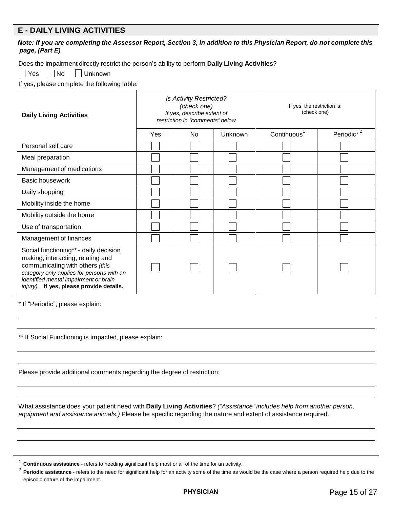### **E - DAILY LIVING ACTIVITIES**

| DAILI LIVING AGTIVITILO<br>Note: If you are completing the Assessor Report, Section 3, in addition to this Physician Report, do not complete this<br>page, (Part E)                                                                             |     |                                                                                                                |         |                                            |                        |  |  |  |  |
|-------------------------------------------------------------------------------------------------------------------------------------------------------------------------------------------------------------------------------------------------|-----|----------------------------------------------------------------------------------------------------------------|---------|--------------------------------------------|------------------------|--|--|--|--|
| Does the impairment directly restrict the person's ability to perform Daily Living Activities?                                                                                                                                                  |     |                                                                                                                |         |                                            |                        |  |  |  |  |
| Yes<br>$\vert$ No<br>Unknown                                                                                                                                                                                                                    |     |                                                                                                                |         |                                            |                        |  |  |  |  |
| If yes, please complete the following table:                                                                                                                                                                                                    |     |                                                                                                                |         |                                            |                        |  |  |  |  |
| <b>Daily Living Activities</b>                                                                                                                                                                                                                  |     | <b>Is Activity Restricted?</b><br>(check one)<br>If yes, describe extent of<br>restriction in "comments" below |         | If yes, the restriction is:<br>(check one) |                        |  |  |  |  |
|                                                                                                                                                                                                                                                 | Yes | No.                                                                                                            | Unknown | Continuous <sup>1</sup>                    | Periodic <sup>*2</sup> |  |  |  |  |
| Personal self care                                                                                                                                                                                                                              |     |                                                                                                                |         |                                            |                        |  |  |  |  |
| Meal preparation                                                                                                                                                                                                                                |     |                                                                                                                |         |                                            |                        |  |  |  |  |
| Management of medications                                                                                                                                                                                                                       |     |                                                                                                                |         |                                            |                        |  |  |  |  |
| <b>Basic housework</b>                                                                                                                                                                                                                          |     |                                                                                                                |         |                                            |                        |  |  |  |  |
| Daily shopping                                                                                                                                                                                                                                  |     |                                                                                                                |         |                                            |                        |  |  |  |  |
| Mobility inside the home                                                                                                                                                                                                                        |     |                                                                                                                |         |                                            |                        |  |  |  |  |
| Mobility outside the home                                                                                                                                                                                                                       |     |                                                                                                                |         |                                            |                        |  |  |  |  |
| Use of transportation                                                                                                                                                                                                                           |     |                                                                                                                |         |                                            |                        |  |  |  |  |
| Management of finances                                                                                                                                                                                                                          |     |                                                                                                                |         |                                            |                        |  |  |  |  |
| Social functioning** - daily decision<br>making; interacting, relating and<br>communicating with others (this<br>category only applies for persons with an<br>identified mental impairment or brain<br>injury). If yes, please provide details. |     |                                                                                                                |         |                                            |                        |  |  |  |  |
| * If "Periodic", please explain:                                                                                                                                                                                                                |     |                                                                                                                |         |                                            |                        |  |  |  |  |
| ** If Social Functioning is impacted, please explain:                                                                                                                                                                                           |     |                                                                                                                |         |                                            |                        |  |  |  |  |
| Please provide additional comments regarding the degree of restriction:                                                                                                                                                                         |     |                                                                                                                |         |                                            |                        |  |  |  |  |
| What assistance does your patient need with Daily Living Activities? ("Assistance" includes help from another person,<br>equipment and assistance animals.) Please be specific regarding the nature and extent of assistance required.          |     |                                                                                                                |         |                                            |                        |  |  |  |  |

1 **Continuous assistance** - refers to needing significant help most or all of the time for an activity.

<sup>2</sup> Periodic assistance - refers to the need for significant help for an activity some of the time as would be the case where a person required help due to the episodic nature of the impairment.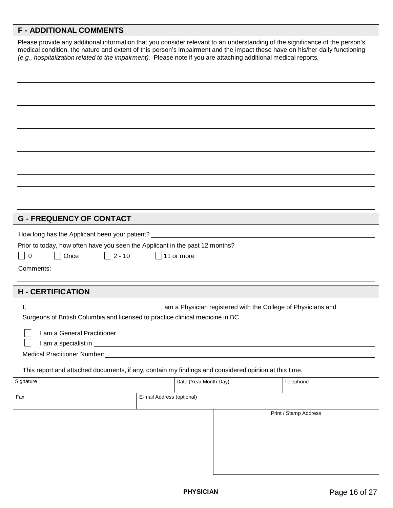# **F - ADDITIONAL COMMENTS**

| Please provide any additional information that you consider relevant to an understanding of the significance of the person's<br>medical condition, the nature and extent of this person's impairment and the impact these have on his/her daily functioning<br>(e.g., hospitalization related to the impairment). Please note if you are attaching additional medical reports. |                           |                       |                       |
|--------------------------------------------------------------------------------------------------------------------------------------------------------------------------------------------------------------------------------------------------------------------------------------------------------------------------------------------------------------------------------|---------------------------|-----------------------|-----------------------|
| <b>G - FREQUENCY OF CONTACT</b>                                                                                                                                                                                                                                                                                                                                                |                           |                       |                       |
| How long has the Applicant been your patient? __________________________________<br>Prior to today, how often have you seen the Applicant in the past 12 months?<br>$\Box$ 2 - 10<br>Once<br>$\mathbf 0$<br>$\mathcal{L}$<br>Comments:                                                                                                                                         | $\vert \ \vert$           | 11 or more            |                       |
| <b>H - CERTIFICATION</b>                                                                                                                                                                                                                                                                                                                                                       |                           |                       |                       |
| Surgeons of British Columbia and licensed to practice clinical medicine in BC.<br>I am a General Practitioner<br>Medical Practitioner Number:<br>Medical Practitioner Number:<br>2008<br>This report and attached documents, if any, contain my findings and considered opinion at this time.                                                                                  |                           |                       |                       |
| Signature                                                                                                                                                                                                                                                                                                                                                                      |                           | Date (Year Month Day) | Telephone             |
| Fax                                                                                                                                                                                                                                                                                                                                                                            | E-mail Address (optional) |                       |                       |
|                                                                                                                                                                                                                                                                                                                                                                                |                           |                       | Print / Stamp Address |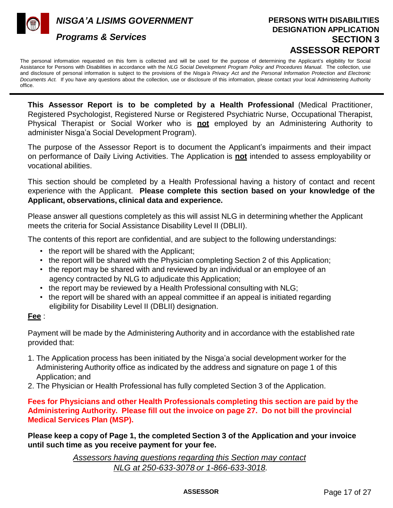*NISGA'A LISIMS GOVERNMENT* 



### *Programs & Services*

### **PERSONS WITH DISABILITIES DESIGNATION APPLICATION SECTION 3 ASSESSOR REPORT**

The personal information requested on this form is collected and will be used for the purpose of determining the Applicant's eligibility for Social Assistance for Persons with Disabilities in accordance with the *NLG Social Development Program Policy and Procedures Manual*. The collection, use and disclosure of personal information is subject to the provisions of the *Nisga'a Privacy Act and the Personal Information Protection and Electronic Documents Act.* If you have any questions about the collection, use or disclosure of this information, please contact your local Administering Authority office.

**This Assessor Report is to be completed by a Health Professional** (Medical Practitioner, Registered Psychologist, Registered Nurse or Registered Psychiatric Nurse, Occupational Therapist, Physical Therapist or Social Worker who is **not** employed by an Administering Authority to administer Nisga'a Social Development Program).

The purpose of the Assessor Report is to document the Applicant's impairments and their impact on performance of Daily Living Activities. The Application is **not** intended to assess employability or vocational abilities.

This section should be completed by a Health Professional having a history of contact and recent experience with the Applicant. **Please complete this section based on your knowledge of the Applicant, observations, clinical data and experience.**

Please answer all questions completely as this will assist NLG in determining whether the Applicant meets the criteria for Social Assistance Disability Level II (DBLII).

The contents of this report are confidential, and are subject to the following understandings:

- the report will be shared with the Applicant;
- the report will be shared with the Physician completing Section 2 of this Application;
- the report may be shared with and reviewed by an individual or an employee of an agency contracted by NLG to adjudicate this Application;
- the report may be reviewed by a Health Professional consulting with NLG;
- the report will be shared with an appeal committee if an appeal is initiated regarding eligibility for Disability Level II (DBLII) designation.

### **Fee** :

Payment will be made by the Administering Authority and in accordance with the established rate provided that:

- 1. The Application process has been initiated by the Nisga'a social development worker for the Administering Authority office as indicated by the address and signature on page 1 of this Application; and
- 2. The Physician or Health Professional has fully completed Section 3 of the Application.

**Fees for Physicians and other Health Professionals completing this section are paid by the Administering Authority. Please fill out the invoice on page 27. Do not bill the provincial Medical Services Plan (MSP).**

**Please keep a copy of Page 1, the completed Section 3 of the Application and your invoice until such time as you receive payment for your fee.**

> *Assessors having questions regarding this Section may contact NLG at 250-633-3078 or 1-866-633-3018.*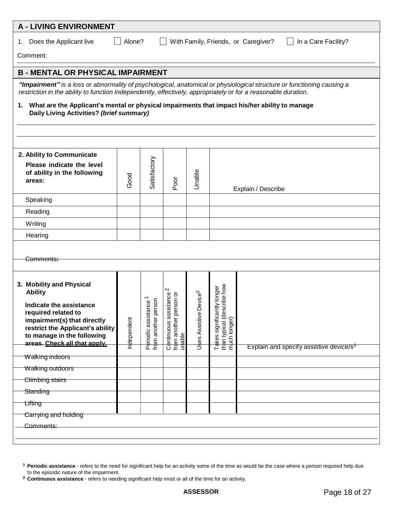| <b>A - LIVING ENVIRONMENT</b>                                                                                                                                                                                                                                                                                                                   |                                          |                                               |                                                  |                                    |                                                                  |                                                     |  |  |  |  |
|-------------------------------------------------------------------------------------------------------------------------------------------------------------------------------------------------------------------------------------------------------------------------------------------------------------------------------------------------|------------------------------------------|-----------------------------------------------|--------------------------------------------------|------------------------------------|------------------------------------------------------------------|-----------------------------------------------------|--|--|--|--|
| Alone?<br>With Family, Friends, or Caregiver?<br>In a Care Facility?<br>1. Does the Applicant live                                                                                                                                                                                                                                              |                                          |                                               |                                                  |                                    |                                                                  |                                                     |  |  |  |  |
| Comment:                                                                                                                                                                                                                                                                                                                                        |                                          |                                               |                                                  |                                    |                                                                  |                                                     |  |  |  |  |
| <b>B - MENTAL OR PHYSICAL IMPAIRMENT</b>                                                                                                                                                                                                                                                                                                        |                                          |                                               |                                                  |                                    |                                                                  |                                                     |  |  |  |  |
| "Impairment" is a loss or abnormality of psychological, anatomical or physiological structure or functioning causing a<br>restriction in the ability to function Independently, effectively, appropriately or for a reasonable duration.<br>What are the Applicant's mental or physical impairments that impact his/her ability to manage<br>1. |                                          |                                               |                                                  |                                    |                                                                  |                                                     |  |  |  |  |
|                                                                                                                                                                                                                                                                                                                                                 | Daily Living Activities? (brief summary) |                                               |                                                  |                                    |                                                                  |                                                     |  |  |  |  |
|                                                                                                                                                                                                                                                                                                                                                 |                                          |                                               |                                                  |                                    |                                                                  |                                                     |  |  |  |  |
|                                                                                                                                                                                                                                                                                                                                                 |                                          |                                               |                                                  |                                    |                                                                  |                                                     |  |  |  |  |
| 2. Ability to Communicate                                                                                                                                                                                                                                                                                                                       |                                          |                                               |                                                  |                                    |                                                                  |                                                     |  |  |  |  |
| Please indicate the level<br>of ability in the following<br>areas:                                                                                                                                                                                                                                                                              | Good                                     | Satisfactory                                  | Poor                                             | Unable                             |                                                                  | Explain / Describe                                  |  |  |  |  |
| Speaking                                                                                                                                                                                                                                                                                                                                        |                                          |                                               |                                                  |                                    |                                                                  |                                                     |  |  |  |  |
| Reading                                                                                                                                                                                                                                                                                                                                         |                                          |                                               |                                                  |                                    |                                                                  |                                                     |  |  |  |  |
| Writing                                                                                                                                                                                                                                                                                                                                         |                                          |                                               |                                                  |                                    |                                                                  |                                                     |  |  |  |  |
| Hearing                                                                                                                                                                                                                                                                                                                                         |                                          |                                               |                                                  |                                    |                                                                  |                                                     |  |  |  |  |
| Comments:                                                                                                                                                                                                                                                                                                                                       |                                          |                                               |                                                  |                                    |                                                                  |                                                     |  |  |  |  |
| 3. Mobility and Physical<br><b>Ability</b>                                                                                                                                                                                                                                                                                                      |                                          |                                               | Ν<br>tance<br>on or                              |                                    | y longer                                                         |                                                     |  |  |  |  |
| Indicate the assistance<br>required related to<br>impairment(s) that directly<br>restrict the Applicant's ability<br>to manage in the following<br>areas. Check all that apply.                                                                                                                                                                 | Independent                              | ö<br>Periodic assistance<br>from another pers | Continuous assist<br>from another pers<br>unable | Uses Assistive Device <sup>3</sup> | than typical (describe how<br>mµch longer)<br>Takes significantl | Explain and specify assistive device/s <sup>3</sup> |  |  |  |  |
| Walking indoors                                                                                                                                                                                                                                                                                                                                 |                                          |                                               |                                                  |                                    |                                                                  |                                                     |  |  |  |  |
| Walking outdoors                                                                                                                                                                                                                                                                                                                                |                                          |                                               |                                                  |                                    |                                                                  |                                                     |  |  |  |  |
| Climbing stairs                                                                                                                                                                                                                                                                                                                                 |                                          |                                               |                                                  |                                    |                                                                  |                                                     |  |  |  |  |
| Standing                                                                                                                                                                                                                                                                                                                                        |                                          |                                               |                                                  |                                    |                                                                  |                                                     |  |  |  |  |
| <b>Lifting</b>                                                                                                                                                                                                                                                                                                                                  |                                          |                                               |                                                  |                                    |                                                                  |                                                     |  |  |  |  |
| Carrying and holding                                                                                                                                                                                                                                                                                                                            |                                          |                                               |                                                  |                                    |                                                                  |                                                     |  |  |  |  |
| Comments:                                                                                                                                                                                                                                                                                                                                       |                                          |                                               |                                                  |                                    |                                                                  |                                                     |  |  |  |  |
|                                                                                                                                                                                                                                                                                                                                                 |                                          |                                               |                                                  |                                    |                                                                  |                                                     |  |  |  |  |

**<sup>1</sup>Periodic assistance** - refers to the need for significant help for an activity some of the time as would be the case where a person required help due to the episodic nature of the impairment.

**<sup>2</sup>Continuous assistance** - refers to needing significant help most or all of the time for an activity.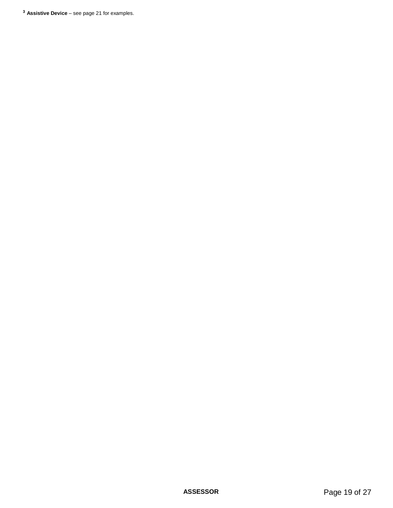**<sup>3</sup> Assistive Device** – see page 21 for examples.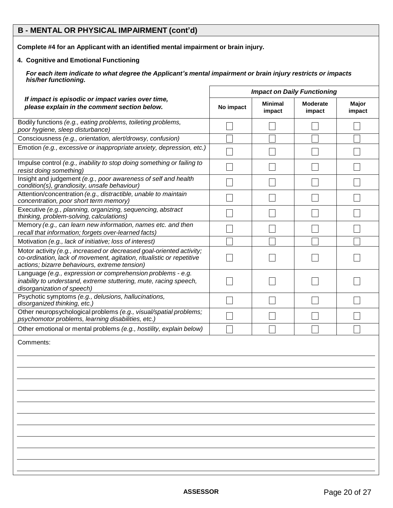### **B - MENTAL OR PHYSICAL IMPAIRMENT (cont'd)**

**Complete #4 for an Applicant with an identified mental impairment or brain injury.**

### **4. Cognitive and Emotional Functioning**

For each item indicate to what degree the Applicant's mental impairment or brain injury restricts or impacts *his/her functioning.*

|                                                                                                                                                                                                | <b>Impact on Daily Functioning</b> |                          |                           |                 |  |  |
|------------------------------------------------------------------------------------------------------------------------------------------------------------------------------------------------|------------------------------------|--------------------------|---------------------------|-----------------|--|--|
| If impact is episodic or impact varies over time,<br>please explain in the comment section below.                                                                                              | No impact                          | <b>Minimal</b><br>impact | <b>Moderate</b><br>impact | Major<br>impact |  |  |
| Bodily functions (e.g., eating problems, toileting problems,<br>poor hygiene, sleep disturbance)                                                                                               |                                    |                          |                           |                 |  |  |
| Consciousness (e.g., orientation, alert/drowsy, confusion)                                                                                                                                     |                                    |                          |                           |                 |  |  |
| Emotion (e.g., excessive or inappropriate anxiety, depression, etc.)                                                                                                                           |                                    |                          |                           |                 |  |  |
| Impulse control (e.g., inability to stop doing something or failing to<br>resist doing something)                                                                                              |                                    |                          |                           |                 |  |  |
| Insight and judgement (e.g., poor awareness of self and health<br>condition(s), grandiosity, unsafe behaviour)                                                                                 |                                    |                          |                           |                 |  |  |
| Attention/concentration (e.g., distractible, unable to maintain<br>concentration, poor short term memory)                                                                                      |                                    |                          |                           |                 |  |  |
| Executive (e.g., planning, organizing, sequencing, abstract<br>thinking, problem-solving, calculations)                                                                                        |                                    |                          |                           |                 |  |  |
| Memory (e.g., can learn new information, names etc. and then<br>recall that information; forgets over-learned facts)                                                                           |                                    |                          |                           |                 |  |  |
| Motivation (e.g., lack of initiative; loss of interest)                                                                                                                                        |                                    |                          |                           |                 |  |  |
| Motor activity (e.g., increased or decreased goal-oriented activity;<br>co-ordination, lack of movement, agitation, ritualistic or repetitive<br>actions; bizarre behaviours, extreme tension) |                                    |                          |                           |                 |  |  |
| Language (e.g., expression or comprehension problems - e.g.<br>inability to understand, extreme stuttering, mute, racing speech,<br>disorganization of speech)                                 |                                    |                          |                           |                 |  |  |
| Psychotic symptoms (e.g., delusions, hallucinations,<br>disorganized thinking, etc.)                                                                                                           |                                    |                          |                           |                 |  |  |
| Other neuropsychological problems (e.g., visual/spatial problems;<br>psychomotor problems, learning disabilities, etc.)                                                                        |                                    |                          |                           |                 |  |  |
| Other emotional or mental problems (e.g., hostility, explain below)                                                                                                                            |                                    |                          |                           |                 |  |  |
| Comments:                                                                                                                                                                                      |                                    |                          |                           |                 |  |  |
|                                                                                                                                                                                                |                                    |                          |                           |                 |  |  |
|                                                                                                                                                                                                |                                    |                          |                           |                 |  |  |
|                                                                                                                                                                                                |                                    |                          |                           |                 |  |  |
|                                                                                                                                                                                                |                                    |                          |                           |                 |  |  |
|                                                                                                                                                                                                |                                    |                          |                           |                 |  |  |
|                                                                                                                                                                                                |                                    |                          |                           |                 |  |  |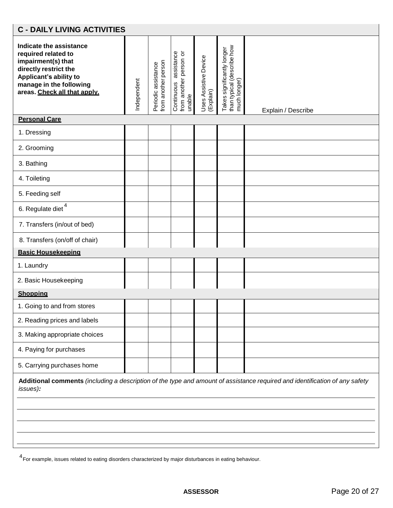| <b>C - DAILY LIVING ACTIVITIES</b>                                                                                                                                                 |             |                                            |                                                           |                                    |                                                                          |                                                                                                                             |  |
|------------------------------------------------------------------------------------------------------------------------------------------------------------------------------------|-------------|--------------------------------------------|-----------------------------------------------------------|------------------------------------|--------------------------------------------------------------------------|-----------------------------------------------------------------------------------------------------------------------------|--|
| Indicate the assistance<br>required related to<br>impairment(s) that<br>directly restrict the<br>Applicant's ability to<br>manage in the following<br>areas. Check all that apply. | Independent | Periodic assistance<br>from another person | Continuous assistance<br>from another person or<br>unable | Uses Assistive Device<br>(Explain) | than typical (describe how<br>much longer)<br>Takes significantly longer | Explain / Describe                                                                                                          |  |
| <b>Personal Care</b>                                                                                                                                                               |             |                                            |                                                           |                                    |                                                                          |                                                                                                                             |  |
| 1. Dressing                                                                                                                                                                        |             |                                            |                                                           |                                    |                                                                          |                                                                                                                             |  |
| 2. Grooming                                                                                                                                                                        |             |                                            |                                                           |                                    |                                                                          |                                                                                                                             |  |
| 3. Bathing                                                                                                                                                                         |             |                                            |                                                           |                                    |                                                                          |                                                                                                                             |  |
| 4. Toileting                                                                                                                                                                       |             |                                            |                                                           |                                    |                                                                          |                                                                                                                             |  |
| 5. Feeding self                                                                                                                                                                    |             |                                            |                                                           |                                    |                                                                          |                                                                                                                             |  |
| 6. Regulate diet <sup>4</sup>                                                                                                                                                      |             |                                            |                                                           |                                    |                                                                          |                                                                                                                             |  |
| 7. Transfers (in/out of bed)                                                                                                                                                       |             |                                            |                                                           |                                    |                                                                          |                                                                                                                             |  |
| 8. Transfers (on/off of chair)                                                                                                                                                     |             |                                            |                                                           |                                    |                                                                          |                                                                                                                             |  |
| <b>Basic Housekeeping</b>                                                                                                                                                          |             |                                            |                                                           |                                    |                                                                          |                                                                                                                             |  |
| 1. Laundry                                                                                                                                                                         |             |                                            |                                                           |                                    |                                                                          |                                                                                                                             |  |
| 2. Basic Housekeeping                                                                                                                                                              |             |                                            |                                                           |                                    |                                                                          |                                                                                                                             |  |
| <b>Shopping</b>                                                                                                                                                                    |             |                                            |                                                           |                                    |                                                                          |                                                                                                                             |  |
| 1. Going to and from stores                                                                                                                                                        |             |                                            |                                                           |                                    |                                                                          |                                                                                                                             |  |
| 2. Reading prices and labels                                                                                                                                                       |             |                                            |                                                           |                                    |                                                                          |                                                                                                                             |  |
| 3. Making appropriate choices                                                                                                                                                      |             |                                            |                                                           |                                    |                                                                          |                                                                                                                             |  |
| 4. Paying for purchases                                                                                                                                                            |             |                                            |                                                           |                                    |                                                                          |                                                                                                                             |  |
| 5. Carrying purchases home                                                                                                                                                         |             |                                            |                                                           |                                    |                                                                          |                                                                                                                             |  |
| issues):                                                                                                                                                                           |             |                                            |                                                           |                                    |                                                                          | Additional comments (including a description of the type and amount of assistance required and identification of any safety |  |
|                                                                                                                                                                                    |             |                                            |                                                           |                                    |                                                                          |                                                                                                                             |  |
|                                                                                                                                                                                    |             |                                            |                                                           |                                    |                                                                          |                                                                                                                             |  |
|                                                                                                                                                                                    |             |                                            |                                                           |                                    |                                                                          |                                                                                                                             |  |
|                                                                                                                                                                                    |             |                                            |                                                           |                                    |                                                                          |                                                                                                                             |  |

4<br>For example, issues related to eating disorders characterized by major disturbances in eating behaviour.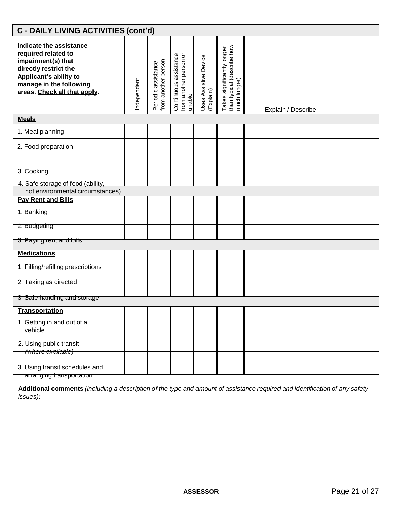| C - DAILY LIVING ACTIVITIES (cont'd)                                                                                                                                               |             |                                            |                                                           |                                    |                                                                          |                                                                                                                             |
|------------------------------------------------------------------------------------------------------------------------------------------------------------------------------------|-------------|--------------------------------------------|-----------------------------------------------------------|------------------------------------|--------------------------------------------------------------------------|-----------------------------------------------------------------------------------------------------------------------------|
| Indicate the assistance<br>required related to<br>impairment(s) that<br>directly restrict the<br>Applicant's ability to<br>manage in the following<br>areas. Check all that apply. | Independent | Periodic assistance<br>from another person | from another person or<br>unable<br>Continuous assistance | Uses Assistive Device<br>(Explain) | than typical (describe how<br>much longer)<br>Takes significantly longer | Explain / Describe                                                                                                          |
| <b>Meals</b>                                                                                                                                                                       |             |                                            |                                                           |                                    |                                                                          |                                                                                                                             |
| 1. Meal planning                                                                                                                                                                   |             |                                            |                                                           |                                    |                                                                          |                                                                                                                             |
| 2. Food preparation                                                                                                                                                                |             |                                            |                                                           |                                    |                                                                          |                                                                                                                             |
| 3. Cooking<br>4. Safe storage of food (ability,<br>not environmental circumstances)                                                                                                |             |                                            |                                                           |                                    |                                                                          |                                                                                                                             |
| <b>Pav Rent and Bills</b>                                                                                                                                                          |             |                                            |                                                           |                                    |                                                                          |                                                                                                                             |
| 1. Banking                                                                                                                                                                         |             |                                            |                                                           |                                    |                                                                          |                                                                                                                             |
| 2. Budgeting                                                                                                                                                                       |             |                                            |                                                           |                                    |                                                                          |                                                                                                                             |
| 3. Paying rent and bills                                                                                                                                                           |             |                                            |                                                           |                                    |                                                                          |                                                                                                                             |
| <b>Medications</b>                                                                                                                                                                 |             |                                            |                                                           |                                    |                                                                          |                                                                                                                             |
| 1. Filling/refilling prescriptions                                                                                                                                                 |             |                                            |                                                           |                                    |                                                                          |                                                                                                                             |
| 2. Taking as directed                                                                                                                                                              |             |                                            |                                                           |                                    |                                                                          |                                                                                                                             |
| 3. Safe handling and storage                                                                                                                                                       |             |                                            |                                                           |                                    |                                                                          |                                                                                                                             |
| Transportation<br>1. Getting in and out of a                                                                                                                                       |             |                                            |                                                           |                                    |                                                                          |                                                                                                                             |
| vehicle<br>2. Using public transit                                                                                                                                                 |             |                                            |                                                           |                                    |                                                                          |                                                                                                                             |
| (where available)<br>3. Using transit schedules and<br>arranging transportation                                                                                                    |             |                                            |                                                           |                                    |                                                                          |                                                                                                                             |
| issues):                                                                                                                                                                           |             |                                            |                                                           |                                    |                                                                          | Additional comments (including a description of the type and amount of assistance required and identification of any safety |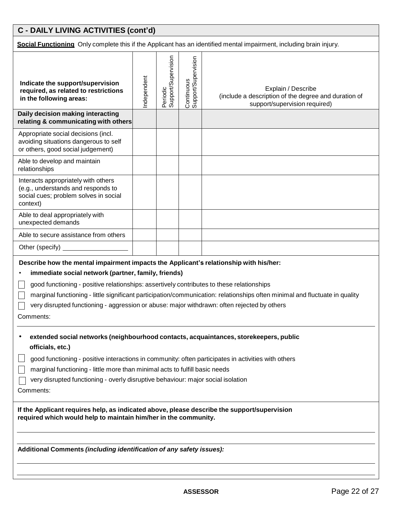# **C - DAILY LIVING ACTIVITIES (cont'd)**

**Social Functioning** Only complete this if the Applicant has an identified mental impairment, including brain injury.

|                                                                                                                                                                                                                                                                                                                                                                                                                                                                                      |             |                                 |                                   | <b>Social Functioning</b> Only complete this if the Applicant has an identified mental impairment, including brain injury. |  |
|--------------------------------------------------------------------------------------------------------------------------------------------------------------------------------------------------------------------------------------------------------------------------------------------------------------------------------------------------------------------------------------------------------------------------------------------------------------------------------------|-------------|---------------------------------|-----------------------------------|----------------------------------------------------------------------------------------------------------------------------|--|
| Indicate the support/supervision<br>required, as related to restrictions<br>in the following areas:                                                                                                                                                                                                                                                                                                                                                                                  | Independent | Periodic<br>Support/Supervision | Continuous<br>Support/Supervision | Explain / Describe<br>(include a description of the degree and duration of<br>support/supervision required)                |  |
| Daily decision making interacting<br>relating & communicating with others                                                                                                                                                                                                                                                                                                                                                                                                            |             |                                 |                                   |                                                                                                                            |  |
| Appropriate social decisions (incl.<br>avoiding situations dangerous to self<br>or others, good social judgement)                                                                                                                                                                                                                                                                                                                                                                    |             |                                 |                                   |                                                                                                                            |  |
| Able to develop and maintain<br>relationships                                                                                                                                                                                                                                                                                                                                                                                                                                        |             |                                 |                                   |                                                                                                                            |  |
| Interacts appropriately with others<br>(e.g., understands and responds to<br>social cues; problem solves in social<br>context)                                                                                                                                                                                                                                                                                                                                                       |             |                                 |                                   |                                                                                                                            |  |
| Able to deal appropriately with<br>unexpected demands                                                                                                                                                                                                                                                                                                                                                                                                                                |             |                                 |                                   |                                                                                                                            |  |
| Able to secure assistance from others                                                                                                                                                                                                                                                                                                                                                                                                                                                |             |                                 |                                   |                                                                                                                            |  |
| Other (specify) _                                                                                                                                                                                                                                                                                                                                                                                                                                                                    |             |                                 |                                   |                                                                                                                            |  |
| Describe how the mental impairment impacts the Applicant's relationship with his/her:<br>immediate social network (partner, family, friends)<br>good functioning - positive relationships: assertively contributes to these relationships<br>marginal functioning - little significant participation/communication: relationships often minimal and fluctuate in quality<br>very disrupted functioning - aggression or abuse: major withdrawn: often rejected by others<br>Comments: |             |                                 |                                   |                                                                                                                            |  |
| extended social networks (neighbourhood contacts, acquaintances, storekeepers, public<br>officials, etc.)<br>good functioning - positive interactions in community: often participates in activities with others<br>marginal functioning - little more than minimal acts to fulfill basic needs<br>very disrupted functioning - overly disruptive behaviour: major social isolation<br>Comments:                                                                                     |             |                                 |                                   |                                                                                                                            |  |
| If the Applicant requires help, as indicated above, please describe the support/supervision<br>required which would help to maintain him/her in the community.                                                                                                                                                                                                                                                                                                                       |             |                                 |                                   |                                                                                                                            |  |
| Additional Comments (including identification of any safety issues):                                                                                                                                                                                                                                                                                                                                                                                                                 |             |                                 |                                   |                                                                                                                            |  |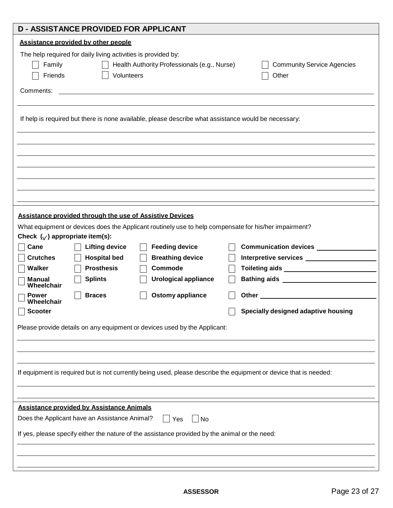| <b>D - ASSISTANCE PROVIDED FOR APPLICANT</b>                                                                                                                                                                                                                                     |                                                                                                                                                                                                                                                                              |
|----------------------------------------------------------------------------------------------------------------------------------------------------------------------------------------------------------------------------------------------------------------------------------|------------------------------------------------------------------------------------------------------------------------------------------------------------------------------------------------------------------------------------------------------------------------------|
| Assistance provided by other people<br>The help required for daily living activities is provided by:<br>Family<br>Health Authority Professionals (e.g., Nurse)<br>Volunteers<br>Friends<br>Comments:                                                                             | <b>Community Service Agencies</b><br>Other                                                                                                                                                                                                                                   |
| If help is required but there is none available, please describe what assistance would be necessary:                                                                                                                                                                             |                                                                                                                                                                                                                                                                              |
| <b>Assistance provided through the use of Assistive Devices</b><br>What equipment or devices does the Applicant routinely use to help compensate for his/her impairment?<br>Check $(y)$ appropriate item(s):<br>Cane<br><b>Lifting device</b><br><b>Feeding device</b>           | Communication devices ______________                                                                                                                                                                                                                                         |
| <b>Crutches</b><br><b>Hospital bed</b><br><b>Breathing device</b><br><b>Prosthesis</b><br>Walker<br>Commode<br><b>Splints</b><br><b>Urological appliance</b><br>Manual<br>Wheelchair<br><b>Ostomy appliance</b><br><b>Braces</b><br><b>Power</b><br>Wheelchair<br><b>Scooter</b> | Other the contract of the contract of the contract of the contract of the contract of the contract of the contract of the contract of the contract of the contract of the contract of the contract of the contract of the cont<br><b>Specially designed adaptive housing</b> |
| Please provide details on any equipment or devices used by the Applicant:<br>If equipment is required but is not currently being used, please describe the equipment or device that is needed:                                                                                   |                                                                                                                                                                                                                                                                              |
| <b>Assistance provided by Assistance Animals</b><br>Does the Applicant have an Assistance Animal?<br>Yes<br>No<br>If yes, please specify either the nature of the assistance provided by the animal or the need:                                                                 |                                                                                                                                                                                                                                                                              |
|                                                                                                                                                                                                                                                                                  |                                                                                                                                                                                                                                                                              |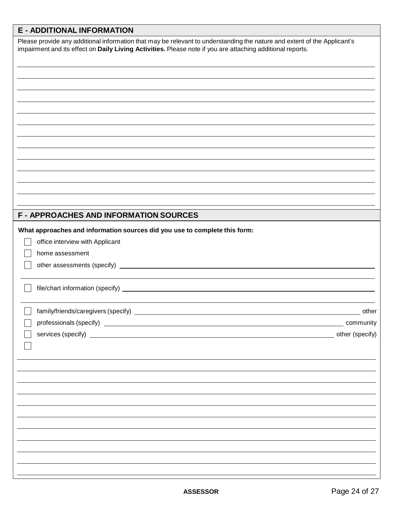## **E - ADDITIONAL INFORMATION**

| Please provide any additional information that may be relevant to understanding the nature and extent of the Applicant's<br>impairment and its effect on Daily Living Activities. Please note if you are attaching additional reports. |           |
|----------------------------------------------------------------------------------------------------------------------------------------------------------------------------------------------------------------------------------------|-----------|
|                                                                                                                                                                                                                                        |           |
|                                                                                                                                                                                                                                        |           |
|                                                                                                                                                                                                                                        |           |
|                                                                                                                                                                                                                                        |           |
|                                                                                                                                                                                                                                        |           |
|                                                                                                                                                                                                                                        |           |
|                                                                                                                                                                                                                                        |           |
|                                                                                                                                                                                                                                        |           |
|                                                                                                                                                                                                                                        |           |
|                                                                                                                                                                                                                                        |           |
|                                                                                                                                                                                                                                        |           |
|                                                                                                                                                                                                                                        |           |
| <b>F - APPROACHES AND INFORMATION SOURCES</b>                                                                                                                                                                                          |           |
| What approaches and information sources did you use to complete this form:                                                                                                                                                             |           |
| office interview with Applicant                                                                                                                                                                                                        |           |
| home assessment                                                                                                                                                                                                                        |           |
|                                                                                                                                                                                                                                        |           |
|                                                                                                                                                                                                                                        |           |
|                                                                                                                                                                                                                                        | other     |
|                                                                                                                                                                                                                                        | community |
| services (specify) example and the services (specify) services (specify)                                                                                                                                                               |           |
|                                                                                                                                                                                                                                        |           |
|                                                                                                                                                                                                                                        |           |
|                                                                                                                                                                                                                                        |           |
|                                                                                                                                                                                                                                        |           |
|                                                                                                                                                                                                                                        |           |
|                                                                                                                                                                                                                                        |           |
|                                                                                                                                                                                                                                        |           |
|                                                                                                                                                                                                                                        |           |
|                                                                                                                                                                                                                                        |           |
|                                                                                                                                                                                                                                        |           |
|                                                                                                                                                                                                                                        |           |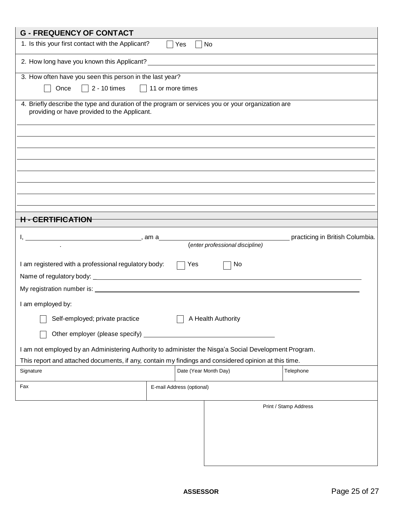| <b>G - FREQUENCY OF CONTACT</b>                                                                                                                   |                                 |                                 |
|---------------------------------------------------------------------------------------------------------------------------------------------------|---------------------------------|---------------------------------|
| 1. Is this your first contact with the Applicant?                                                                                                 | No<br>Yes                       |                                 |
|                                                                                                                                                   |                                 |                                 |
| 3. How often have you seen this person in the last year?                                                                                          |                                 |                                 |
| $\Box$ 2 - 10 times $\Box$ 11 or more times<br>Once                                                                                               |                                 |                                 |
| 4. Briefly describe the type and duration of the program or services you or your organization are<br>providing or have provided to the Applicant. |                                 |                                 |
|                                                                                                                                                   |                                 |                                 |
|                                                                                                                                                   |                                 |                                 |
|                                                                                                                                                   |                                 |                                 |
|                                                                                                                                                   |                                 |                                 |
|                                                                                                                                                   |                                 |                                 |
|                                                                                                                                                   |                                 |                                 |
| <b>H - CERTIFICATION</b>                                                                                                                          |                                 |                                 |
|                                                                                                                                                   |                                 | practicing in British Columbia. |
|                                                                                                                                                   | (enter professional discipline) |                                 |
| I am registered with a professional regulatory body:                                                                                              | Yes<br>No                       |                                 |
|                                                                                                                                                   |                                 |                                 |
|                                                                                                                                                   |                                 |                                 |
| I am employed by:                                                                                                                                 |                                 |                                 |
| Self-employed; private practice                                                                                                                   | A Health Authority              |                                 |
| Other employer (please specify)                                                                                                                   |                                 |                                 |
| I am not employed by an Administering Authority to administer the Nisga'a Social Development Program.                                             |                                 |                                 |
| This report and attached documents, if any, contain my findings and considered opinion at this time.                                              |                                 |                                 |
| Signature                                                                                                                                         | Date (Year Month Day)           | Telephone                       |
| Fax                                                                                                                                               | E-mail Address (optional)       |                                 |
|                                                                                                                                                   |                                 |                                 |
|                                                                                                                                                   |                                 | Print / Stamp Address           |
|                                                                                                                                                   |                                 |                                 |
|                                                                                                                                                   |                                 |                                 |
|                                                                                                                                                   |                                 |                                 |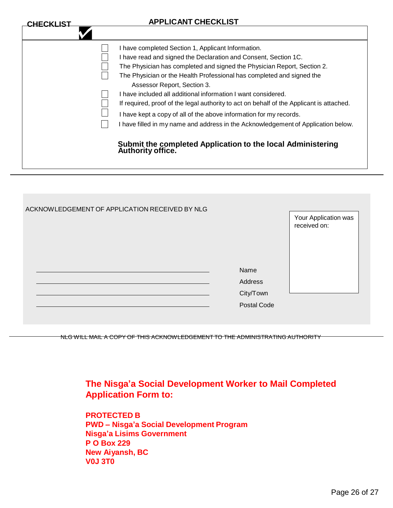| <b>CHECKLIST</b> | <b>APPLICANT CHECKLIST</b>                                                                                                                                                                                                                                                                                                                                                                                                                                                                                                                                                                                                       |
|------------------|----------------------------------------------------------------------------------------------------------------------------------------------------------------------------------------------------------------------------------------------------------------------------------------------------------------------------------------------------------------------------------------------------------------------------------------------------------------------------------------------------------------------------------------------------------------------------------------------------------------------------------|
|                  |                                                                                                                                                                                                                                                                                                                                                                                                                                                                                                                                                                                                                                  |
|                  | I have completed Section 1, Applicant Information.<br>I have read and signed the Declaration and Consent, Section 1C.<br>The Physician has completed and signed the Physician Report, Section 2.<br>The Physician or the Health Professional has completed and signed the<br>Assessor Report, Section 3.<br>I have included all additional information I want considered.<br>If required, proof of the legal authority to act on behalf of the Applicant is attached.<br>I have kept a copy of all of the above information for my records.<br>I have filled in my name and address in the Acknowledgement of Application below. |
|                  | Submit the completed Application to the local Administering<br>Authority office.                                                                                                                                                                                                                                                                                                                                                                                                                                                                                                                                                 |

| ACKNOWLEDGEMENT OF APPLICATION RECEIVED BY NLG |                                                    | Your Application was<br>received on: |
|------------------------------------------------|----------------------------------------------------|--------------------------------------|
|                                                | Name<br>Address<br>City/Town<br><b>Postal Code</b> |                                      |

NLG WILL MAIL A COPY OF THIS ACKNOWLEDGEMENT TO THE ADMINISTRATING AUTHORITY

**The Nisga'a Social Development Worker to Mail Completed Application Form to:**

**PROTECTED B PWD – Nisga'a Social Development Program Nisga'a Lisims Government P O Box 229 New Aiyansh, BC V0J 3T0**